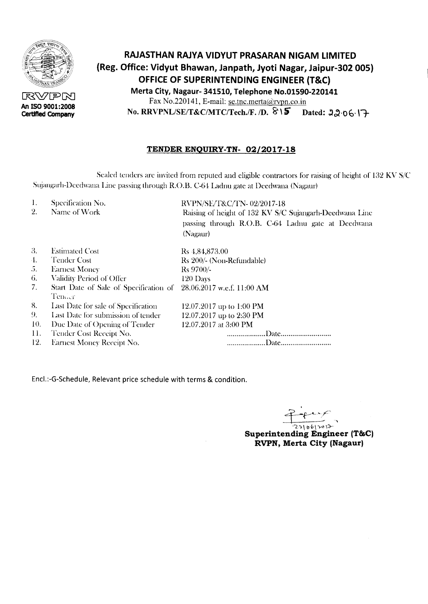

RVPN **An ISO 9001:2008 Certified Company**

# **RAJASTHAN RAJYA VIDYUT PRASARAN NIGAM LIMITED (Reg. Office: Vidyut Bhawan, Janpath, Jyoti Nagar, Jaipur-302 005) OFFICE OF SUPERINTENDING ENGINEER (T&C) Merta City, Nagaur- 341510, Telephone No.01590-220141** Fax No.220141, E-mail: se.tnc.merta@rvpn.co.in  $\text{No. RRVPNL/SE/T&C/MTC/Techn.}$   $\{F. / D. \$  $\$\$$  Dated: 22.06.17

### **TENDER ENQUIRY-TN- 02/2017-18**

Sealed tenders are invited from reputed and eligible contractors for raising of height of 132 KV *S/C* Sujangarh-Deedwana Line passing through R.O.B. C-64 Ladnu gate at Deedwana (Nagaur)

- 1. Specification No.
- 2. Name of Work

RVPN/SE/T&C/TN- 02/2017-18 Raising of height of 132 KV S/C Sujangarh-Deedwana Line passing through R.O.B. C-64 Ladnu gate at Deedwana (Nagaur)

| 3.                     | <b>Estimated Cost</b>                                                       | Rs 4,84,873.00            |
|------------------------|-----------------------------------------------------------------------------|---------------------------|
| 4.                     | <b>Tender Cost</b>                                                          | Rs 200/- (Non-Refundable) |
| 5.                     | <b>Earnest Money</b>                                                        | Rs 9700/-                 |
| 6.                     | Validity Period of Offer                                                    | $120$ Days                |
| 7.                     | Start Date of Sale of Specification of 28.06.2017 w.e.f. 11:00 AM<br>Tender |                           |
| $\overset{\circ}{8}$ . | Last Date for sale of Specification                                         | 12.07.2017 up to 1:00 PM  |
| 9.                     | Last Date for submission of tender                                          | 12.07.2017 up to 2:30 PM  |
| 10.                    | Due Date of Opening of Tender                                               | 12.07.2017 at 3:00 PM     |
| 11.                    | Tender Cost Receipt No.                                                     |                           |
| 12.                    | <b>Earnest Money Receipt No.</b>                                            |                           |

Encl.:-G-Schedule, Relevant price schedule with terms & condition.

, 1-~:(- ,

'L").\""IY<>';)-- **Superintending Engineer (T&C) RVPN, Merta City (Nagaur)**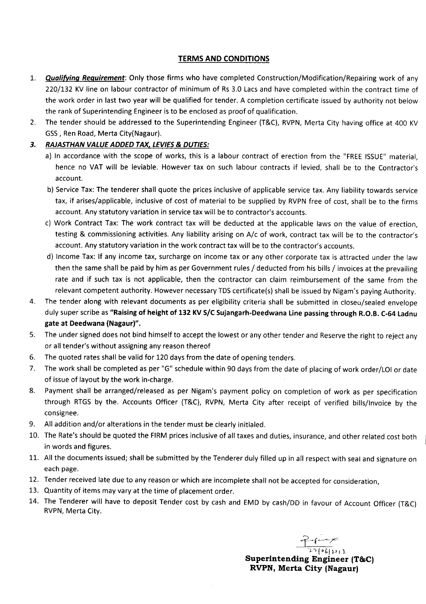#### TERMS AND CONDITIONS

- *1. Qualifying Reguirement:* Only those firms who have completed Construction/Modification/Repairing work of any 220/132 KV line on labour contractor of minimum of Rs 3.0 Lacs and have completed within the contract time of the work order in last two year will be qualified for tender. A completion certificate issued by authority not below the rank of Superintending Engineer is to be enclosed as proof of qualification.
- 2. The tender should be addressed to the Superintending Engineer (T&C), RVPN, Merta City having office at 400 KV GSS, Ren Road, Merta City(Nagaur).

### *3. RAJASTHAN VALUE ADDED TAX, LEVIES*& *DUTIES:*

- a) In accordance with the scope of works, this is a labour contract of erection from the "FREE ISSUE" material, hence no VAT will be leviable. However tax on such labour contracts if levied, shall be to the Contractor's account.
- b) Service Tax: The tenderer shall quote the prices inclusive of applicable service tax. Any liability towards service tax, if arises/applicable, inclusive of cost of material to be supplied by RVPN free of cost, shall be to the firms account. Any statutory variation in service tax will be to contractor's accounts.
- c) Work Contract Tax: The work contract tax will be deducted at the applicable laws on the value of erection, testing & commissioning activities. Any liability arising on A/c of work, contract tax will be to the contractor's account. Any statutory variation in the work contract tax will be to the contractor's accounts.
- d) Income Tax: If any income tax, surcharge on income tax or any other corporate tax is attracted under the law then the same shall be paid by him as per Government rules / deducted from his bills / invoices at the prevailing rate and if such tax is not applicable, then the contractor can claim reimbursement of the same from the relevant competent authority. However necessary TDS certificate(s) shall be issued by Nigam's paying Authority.
- 4. The tender along with relevant documents as per eligibility criteria shall be submitted in closeo/sealed envelope duly super scribe as "Raising of height of 132 KV S/C Sujangarh-Deedwana Line passing through R.O.B. C-64 Ladnu gate at Deedwana (Nagaur)".
- 5. The under signed does not bind himself to accept the lowest or any other tender and Reserve the right to reject any or all tender's without assigningany reasonthereof
- 6. The quoted rates shall be valid for 120 days from the date of opening tenders.
- 7. The work shall be completed as per "G" schedule within 90 days from the date of placing of work order/LOI or date of issue of layout by the work in-charge.
- 8. Payment shall be arranged/released as per Nigam's payment policy on completion of work as per specification through RTGS by the. Accounts Officer (T&C), RVPN, Merta City after receipt of verified bills/Invoice by the consignee.
- 9. All addition and/or alterations in the tender must be clearly initialed.
- 10. The Rate's should be quoted the FIRM prices inclusive of all taxes and duties, insurance, and other related cost both in words and figures.
- 11. All the documents issued; shall be submitted by the Tenderer duly filled up in all respect with sealand signature on each page.
- 12. Tender received late due to any reason or which are incomplete shall not be accepted for consideration,
- 13. Quantity of items may vary at the time of placement order.
- 14. The Tenderer will have to deposit Tender cost by cash and EMD by cash/DD in favour of Account Officer (T&C) RVPN, Merta City.

 $f^2$  $2.2$   $\left($   $\sigma$  6  $\right)$   $1$   $\sigma$  )  $1$ 

Superintending Engineer (T&C) RVPN, Merta City (Nagaur)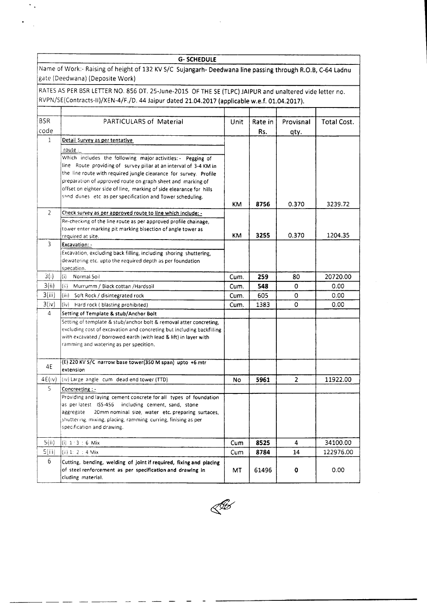|                | <b>G-SCHEDULE</b>                                                                                                                                                                                      |           |         |           |             |  |
|----------------|--------------------------------------------------------------------------------------------------------------------------------------------------------------------------------------------------------|-----------|---------|-----------|-------------|--|
|                | Name of Work:- Raising of height of 132 KV S/C Sujangarh- Deedwana line passing through R.O.B, C-64 Ladnu<br>gate (Deedwana) (Deposite Work)                                                           |           |         |           |             |  |
|                | RATES AS PER BSR LETTER NO. 856 DT. 25-June-2015 OF THE SE (TLPC) JAIPUR and unaltered vide letter no.<br>RVPN/SE(Contracts-II)/XEN-4/F./D. 44 Jaipur dated 21.04.2017 (applicable w.e.f. 01.04.2017). |           |         |           |             |  |
|                |                                                                                                                                                                                                        |           |         |           |             |  |
| <b>BSR</b>     | PARTICULARS of Material                                                                                                                                                                                | Unit      | Rate in | Provisnal | Total Cost. |  |
| code           |                                                                                                                                                                                                        |           |         |           |             |  |
| 1              |                                                                                                                                                                                                        |           | Rs.     | qty.      |             |  |
|                | Detail Survey as per tentative                                                                                                                                                                         |           |         |           |             |  |
|                | route :                                                                                                                                                                                                |           |         |           |             |  |
|                | Which includes the following major activities: - Pegging of                                                                                                                                            |           |         |           |             |  |
|                | line Route providing of survey pillar at an interval of 3-4 KM in<br>the line route with required jungle clearance for survey. Profile                                                                 |           |         |           |             |  |
|                | preparation of approved route on graph sheet and marking of                                                                                                                                            |           |         |           |             |  |
|                | offset on eighter side of line, marking of side elearance for hills                                                                                                                                    |           |         |           |             |  |
|                | sand dunes etc as per specification and Tower scheduling.                                                                                                                                              |           |         |           |             |  |
|                |                                                                                                                                                                                                        | ΚM        | 8756    | 0.370     | 3239.72     |  |
| $\overline{2}$ | Check survey as per approved route to line which include: -                                                                                                                                            |           |         |           |             |  |
|                | Re-checking of the line route as per approved profile chainage.                                                                                                                                        |           |         |           |             |  |
|                | tower enter marking pit marking bisection of angle tower as                                                                                                                                            |           |         |           |             |  |
|                | required at site.                                                                                                                                                                                      | <b>KM</b> | 3255    | 0.370     | 1204.35     |  |
| 3              | Excavation: -                                                                                                                                                                                          |           |         |           |             |  |
|                | Excavation, excluding back filling, including shoring shuttering,                                                                                                                                      |           |         |           |             |  |
|                | dewatering etc. upto the required depth as per foundation                                                                                                                                              |           |         |           |             |  |
|                | specation.                                                                                                                                                                                             |           |         |           |             |  |
| 3(i)           | (i)<br>Normal Soil                                                                                                                                                                                     | Cum.      | 259     | 80        | 20720.00    |  |
| 3(ii)          | (ii) Murrumm / Biack cottan / Hardsoil                                                                                                                                                                 | Cum.      | 548     | 0         | 0.00        |  |
| 3(iii)         | (iii)<br>Soft Rock / disintegrated rock                                                                                                                                                                | Cum.      | 605     | 0         | 0.00        |  |
| 3(iv)          | (iv)<br>Hard rock (blasting prohibited)                                                                                                                                                                | Cum.      | 1383    | 0         | 0.00        |  |
| 4              | Setting of Template & stub/Anchor Bolt                                                                                                                                                                 |           |         |           |             |  |
|                | Setting of template & stub/anchor bolt & removal atter concreting,                                                                                                                                     |           |         |           |             |  |
|                | excluding cost of excavation and concreting but including backfilling                                                                                                                                  |           |         |           |             |  |
|                | with excavated / borrowed earth (with lead & lift) in layer with                                                                                                                                       |           |         |           |             |  |
|                | ramming and watering as per specition.                                                                                                                                                                 |           |         |           |             |  |
|                |                                                                                                                                                                                                        |           |         |           |             |  |
| 4E             | (E) 220 KV S/C narrow base tower(350 M span) upto +6 mtr<br>extension                                                                                                                                  |           |         |           |             |  |
| 4E(IV)         | $\vert (iv)$ Large angle cum dead end tower (TTD)                                                                                                                                                      |           |         | 2         | 11922.00    |  |
| 5.             |                                                                                                                                                                                                        | Νo        | 5961    |           |             |  |
|                | Concreeting : -<br>Providing and laying cement concrete for all types of foundation                                                                                                                    |           |         |           |             |  |
|                | as per-latest ISS-456 including cement, sand, stone                                                                                                                                                    |           |         |           |             |  |
|                | aggregate<br>20mm nominal size, water etc. preparing surtaces,                                                                                                                                         |           |         |           |             |  |
|                | shuttering, mixing, placing, ramming curring, finising as per                                                                                                                                          |           |         |           |             |  |
|                | specification and drawing.                                                                                                                                                                             |           |         |           |             |  |
|                |                                                                                                                                                                                                        |           |         |           |             |  |
| 5(ii)          | (i) $1:3:6$ Mix                                                                                                                                                                                        | Cum       | 8525    | 4         | 34100.00    |  |
| 5(iii)         | (ii) 1: 2 : 4 Mix                                                                                                                                                                                      | Cum       | 8784    | 14        | 122976.00   |  |
| 6              | Cutting, bending, welding of joint if required, fixing and placing                                                                                                                                     |           |         |           |             |  |
|                | of steel renforcement as per specification and drawing in<br>cluding material.                                                                                                                         | МT        | 61496   | 0         | 0.00        |  |
|                |                                                                                                                                                                                                        |           |         |           |             |  |

 $\mathcal{L}^{\text{max}}_{\text{max}}$  , where  $\mathcal{L}^{\text{max}}_{\text{max}}$ 

٦

 $\gamma_{\rm eff}$ 

 $\ddot{\phantom{0}}$  $\frac{1}{2}$ 



 $\overline{\phantom{a}}$ 

 $\sim$   $-$ 

المساحب للداعب المنتبذ

- - $\sim$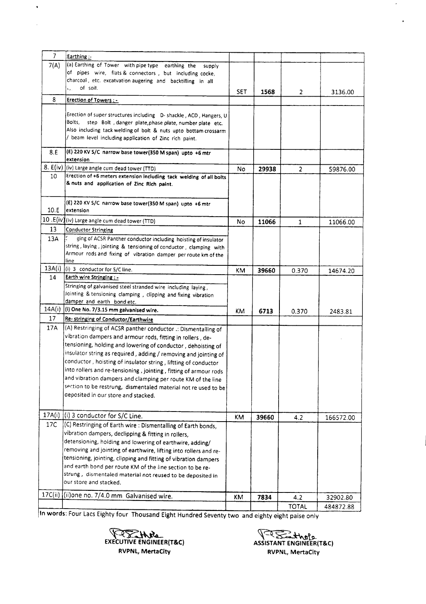| $\overline{7}$ | Earthing:                                                                      |     |       |                |           |
|----------------|--------------------------------------------------------------------------------|-----|-------|----------------|-----------|
| 7(A)           | (a) Earthing of Tower with pipe type earthing the<br>supply                    |     |       |                |           |
|                | of pipes wire, flats & connectors, but including cocke,                        |     |       |                |           |
|                | charcoal, etc. excatvation augering and backtilling in all                     |     |       |                |           |
|                | of soil.<br>ks. I                                                              |     |       |                |           |
|                |                                                                                | SET | 1568  | 2              | 3136.00   |
| 8              | <b>Erection of Towers : -</b>                                                  |     |       |                |           |
|                |                                                                                |     |       |                |           |
|                | Erection of super structures including D- shackle, ACD, Hangers, U<br>Bolts, I |     |       |                |           |
|                | step Bolt , danger plate, phase plate, number plate etc.                       |     |       |                |           |
|                | Also including tack welding of bolt & nuts upto bottam crossarm                |     |       |                |           |
|                | / beam level including application of Zinc rich paint.                         |     |       |                |           |
| 8.E            | (E) 220 KV S/C narrow base tower(350 M span) upto +6 mtr                       |     |       |                |           |
|                | extension                                                                      |     |       |                |           |
| 8. E(iv)       | (iv) Large angle cum dead tower (TTD)                                          | No  | 29938 | $\overline{2}$ | 59876.00  |
| 10             | Erection of +6 meters extension including tack welding of all bolts            |     |       |                |           |
|                | & nuts and application of Zinc Rich paint.                                     |     |       |                |           |
|                |                                                                                |     |       |                |           |
|                |                                                                                |     |       |                |           |
|                | (E) 220 KV S/C narrow base tower(350 M span) upto +6 mtr                       |     |       |                |           |
| 10.E           | extension                                                                      |     |       |                |           |
|                | 10 .E(iv)(iv) Large angle cum dead tower (TTD)                                 | No  | 11066 | 1              | 11066.00  |
| 13             | <b>Conductor Stringing</b>                                                     |     |       |                |           |
| 13A            | ging of ACSR Panther conductor including hoisting of insulator                 |     |       |                |           |
|                | string, laying, jointing & tensioning of conductor, clamping with              |     |       |                |           |
|                | Armour rods and fixing of vibration damper per route km of the                 |     |       |                |           |
|                | lline                                                                          |     |       |                |           |
| 13A(i)         | $(i)$ 3 conductor for S/C line.                                                | KΜ  | 39660 | 0.370          | 14674.20  |
| 14             | <b>Earth wire Stringing : -</b>                                                |     |       |                |           |
|                | Stringing of galvanised steel stranded wire including laying,                  |     |       |                |           |
|                | Jointing & tensioning clamping, clipping and fixing vibration                  |     |       |                |           |
|                | damper and earth bond etc.                                                     |     |       |                |           |
| 14A(i)         | (i) One No. 7/3.15 mm galvanised wire.                                         | ΚM  | 6713  | 0.370          | 2483.81   |
| 17             | Re- stringing of Conductor/Earthwire                                           |     |       |                |           |
| 17A            | (A) Restringing of ACSR panther conductor .: Dismentalling of                  |     |       |                |           |
|                |                                                                                |     |       |                |           |
|                | vibration dampers and armour rods, fitting in rollers, de-                     |     |       |                |           |
|                | tensioning, holding and lowering of conductor, dehoisting of                   |     |       |                |           |
|                | insulator string as required, adding / removing and jointing of                |     |       |                |           |
|                | conductor, hoisting of insulator string, liftting of conductor                 |     |       |                |           |
|                | into rollers and re-tensioning, jointing, fitting of armour rods               |     |       |                |           |
|                | and vibration dampers and clamping per route KM of the line                    |     |       |                |           |
|                | section to be restrung, dismentaled material not re used to be                 |     |       |                |           |
|                | deposited in our store and stacked.                                            |     |       |                |           |
|                |                                                                                |     |       |                |           |
|                |                                                                                |     |       |                |           |
| 17A(i)         | (i) 3 conductor for S/C Line.                                                  | KM  | 39660 | 4.2            | 166572.00 |
| 17C            | (C) Restringing of Earth wire : Dismentalling of Earth bonds,                  |     |       |                |           |
|                | vibration dampers, declipping & fitting in rollers,                            |     |       |                |           |
|                | detensioning, holding and lowering of earthwire, adding/                       |     |       |                |           |
|                | removing and jointing of earthwire, lifting into rollers and re-               |     |       |                |           |
|                | tensioning, jointing, clipping and fitting of vibration dampers                |     |       |                |           |
|                | and earth bond per route KM of the line section to be re-                      |     |       |                |           |
|                | strung, dismentaled material not reused to be deposited in                     |     |       |                |           |
|                | our store and stacked.                                                         |     |       |                |           |
|                |                                                                                |     |       |                |           |
| 17C(ii)        | (ii) one no. 7/4.0 mm Galvanised wire.                                         | ΚM  | 7834  | 4.2            | 32902.80  |
|                |                                                                                |     |       | <b>TOTAL</b>   | 484872.88 |
|                |                                                                                |     |       |                |           |

In words: Four Lacs Eighty four Thousand Eight Hundred Seventy two and eighty eight paise only



 $\hat{\mathbf{v}}$ 

~ ASSISTANT ENGINEER(T&C) RVPNL, MertaCity

 $\hat{\boldsymbol{\lambda}}$ 

 $\bullet$